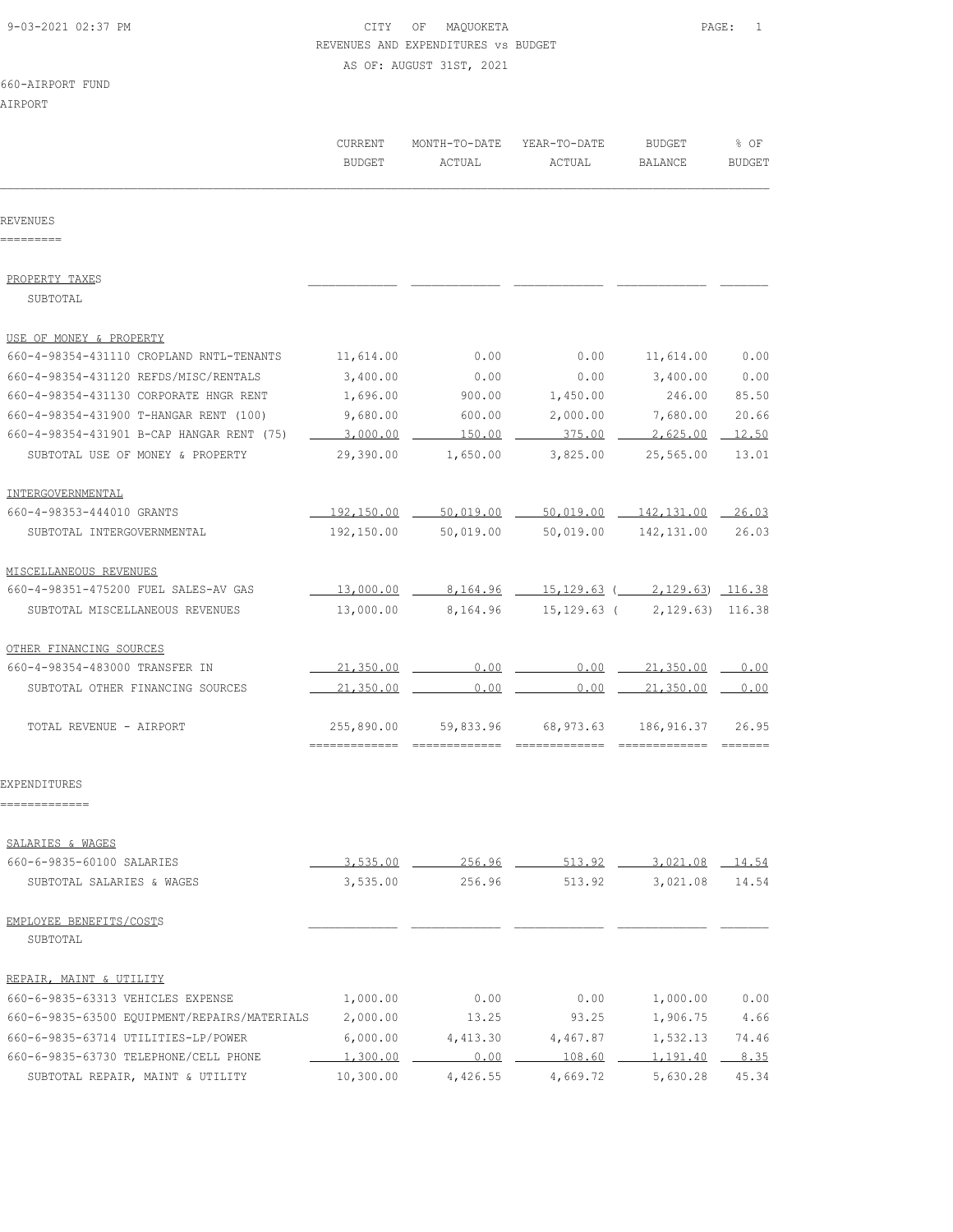## 9-03-2021 02:37 PM CITY OF MAQUOKETA PAGE: 1 REVENUES AND EXPENDITURES vs BUDGET AS OF: AUGUST 31ST, 2021

## 660-AIRPORT FUND

AIRPORT

| AIRFURI                                      |                          |                         |                        |                                   |                       |
|----------------------------------------------|--------------------------|-------------------------|------------------------|-----------------------------------|-----------------------|
|                                              | CURRENT<br><b>BUDGET</b> | MONTH-TO-DATE<br>ACTUAL | YEAR-TO-DATE<br>ACTUAL | <b>BUDGET</b><br>BALANCE          | % OF<br><b>BUDGET</b> |
| REVENUES                                     |                          |                         |                        |                                   |                       |
|                                              |                          |                         |                        |                                   |                       |
| PROPERTY TAXES<br>SUBTOTAL                   |                          |                         |                        |                                   |                       |
| USE OF MONEY & PROPERTY                      |                          |                         |                        |                                   |                       |
| 660-4-98354-431110 CROPLAND RNTL-TENANTS     | 11,614.00                | 0.00                    | 0.00                   | 11,614.00                         | 0.00                  |
| 660-4-98354-431120 REFDS/MISC/RENTALS        | 3,400.00                 | 0.00                    | 0.00                   | 3,400.00                          | 0.00                  |
| 660-4-98354-431130 CORPORATE HNGR RENT       | 1,696.00                 | 900.00                  | 1,450.00               | 246.00                            | 85.50                 |
| 660-4-98354-431900 T-HANGAR RENT (100)       | 9,680.00                 | 600.00                  | 2,000.00               | 7,680.00                          | 20.66                 |
| 660-4-98354-431901 B-CAP HANGAR RENT (75)    | 3,000.00                 | 150.00                  | 375.00                 | 2,625.00                          | 12.50                 |
| SUBTOTAL USE OF MONEY & PROPERTY             | 29,390.00                | 1,650.00                | 3,825.00               | 25,565.00                         | 13.01                 |
| INTERGOVERNMENTAL                            |                          |                         |                        |                                   |                       |
| 660-4-98353-444010 GRANTS                    | 192,150.00               | 50,019.00               | 50,019.00              | 142,131.00                        | 26.03                 |
| SUBTOTAL INTERGOVERNMENTAL                   | 192,150.00               | 50,019.00               | 50,019.00              | 142,131.00                        | 26.03                 |
| MISCELLANEOUS REVENUES                       |                          |                         |                        |                                   |                       |
| 660-4-98351-475200 FUEL SALES-AV GAS         | 13,000.00                | 8,164.96                |                        | $15, 129, 63$ (2, 129, 63) 116.38 |                       |
| SUBTOTAL MISCELLANEOUS REVENUES              | 13,000.00                | 8,164.96                | $15, 129.63$ (         | 2, 129.63) 116.38                 |                       |
| OTHER FINANCING SOURCES                      |                          |                         |                        |                                   |                       |
| 660-4-98354-483000 TRANSFER IN               | 21,350.00                | 0.00                    | 0.00                   | 21,350.00                         | 0.00                  |
| SUBTOTAL OTHER FINANCING SOURCES             | 21,350.00                | 0.00                    | 0.00                   | 21,350.00                         | 0.00                  |
| TOTAL REVENUE - AIRPORT                      | 255,890.00               | 59,833.96               | 68,973.63              | 186,916.37                        | 26.95                 |
| EXPENDITURES                                 |                          |                         |                        |                                   |                       |
|                                              |                          |                         |                        |                                   |                       |
| SALARIES & WAGES                             |                          |                         |                        |                                   |                       |
| 660-6-9835-60100 SALARIES                    | 3,535.00                 | 256.96                  | 513.92                 | 3,021.08                          | 14.54                 |
| SUBTOTAL SALARIES & WAGES                    | 3,535.00                 | 256.96                  | 513.92                 | 3,021.08                          | 14.54                 |
| EMPLOYEE BENEFITS/COSTS                      |                          |                         |                        |                                   |                       |
| SUBTOTAL                                     |                          |                         |                        |                                   |                       |
| REPAIR, MAINT & UTILITY                      |                          |                         |                        |                                   |                       |
| 660-6-9835-63313 VEHICLES EXPENSE            | 1,000.00                 | 0.00                    | 0.00                   | 1,000.00                          | 0.00                  |
| 660-6-9835-63500 EQUIPMENT/REPAIRS/MATERIALS | 2,000.00                 | 13.25                   | 93.25                  | 1,906.75                          | 4.66                  |
| 660-6-9835-63714 UTILITIES-LP/POWER          | 6,000.00                 | 4,413.30                | 4,467.87               | 1,532.13                          | 74.46                 |
| 660-6-9835-63730 TELEPHONE/CELL PHONE        | 1,300.00                 | 0.00                    | 108.60                 | 1,191.40                          | 8.35                  |
| SUBTOTAL REPAIR, MAINT & UTILITY             | 10,300.00                | 4,426.55                | 4,669.72               | 5,630.28                          | 45.34                 |